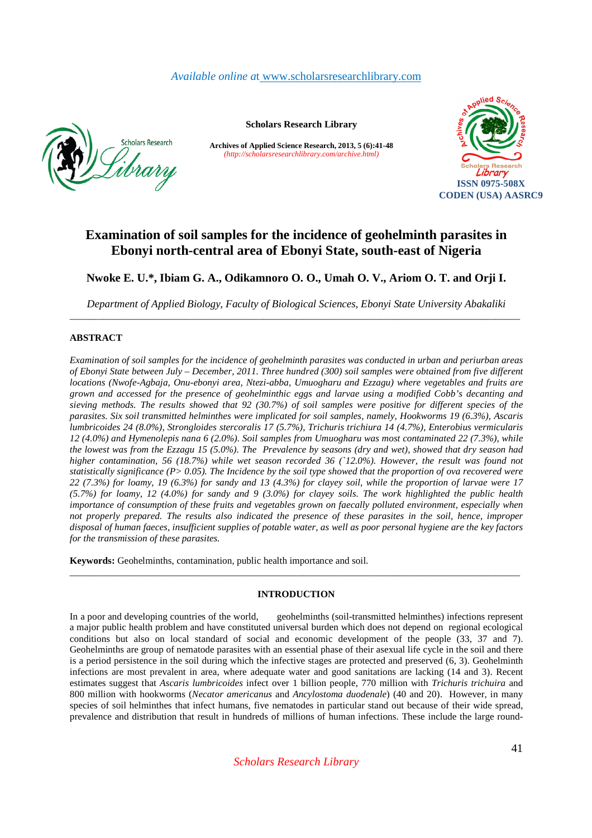# *Available online a*t www.scholarsresearchlibrary.com



**Scholars Research Library** 

**Archives of Applied Science Research, 2013, 5 (6):41-48** *(http://scholarsresearchlibrary.com/archive.html)*



# **Examination of soil samples for the incidence of geohelminth parasites in Ebonyi north-central area of Ebonyi State, south-east of Nigeria**

**Nwoke E. U.\*, Ibiam G. A., Odikamnoro O. O., Umah O. V., Ariom O. T. and Orji I.** 

*Department of Applied Biology, Faculty of Biological Sciences, Ebonyi State University Abakaliki*  \_\_\_\_\_\_\_\_\_\_\_\_\_\_\_\_\_\_\_\_\_\_\_\_\_\_\_\_\_\_\_\_\_\_\_\_\_\_\_\_\_\_\_\_\_\_\_\_\_\_\_\_\_\_\_\_\_\_\_\_\_\_\_\_\_\_\_\_\_\_\_\_\_\_\_\_\_\_\_\_\_\_\_\_\_\_\_\_\_\_\_\_\_

# **ABSTRACT**

*Examination of soil samples for the incidence of geohelminth parasites was conducted in urban and periurban areas of Ebonyi State between July – December, 2011. Three hundred (300) soil samples were obtained from five different locations (Nwofe-Agbaja, Onu-ebonyi area, Ntezi-abba, Umuogharu and Ezzagu) where vegetables and fruits are grown and accessed for the presence of geohelminthic eggs and larvae using a modified Cobb's decanting and sieving methods. The results showed that 92 (30.7%) of soil samples were positive for different species of the parasites. Six soil transmitted helminthes were implicated for soil samples, namely, Hookworms 19 (6.3%), Ascaris lumbricoides 24 (8.0%), Strongloides stercoralis 17 (5.7%), Trichuris trichiura 14 (4.7%), Enterobius vermicularis 12 (4.0%) and Hymenolepis nana 6 (2.0%). Soil samples from Umuogharu was most contaminated 22 (7.3%), while the lowest was from the Ezzagu 15 (5.0%). The Prevalence by seasons (dry and wet), showed that dry season had higher contamination, 56 (18.7%) while wet season recorded 36 (`12.0%). However, the result was found not statistically significance (P> 0.05). The Incidence by the soil type showed that the proportion of ova recovered were 22 (7.3%) for loamy, 19 (6.3%) for sandy and 13 (4.3%) for clayey soil, while the proportion of larvae were 17 (5.7%) for loamy, 12 (4.0%) for sandy and 9 (3.0%) for clayey soils. The work highlighted the public health importance of consumption of these fruits and vegetables grown on faecally polluted environment, especially when not properly prepared. The results also indicated the presence of these parasites in the soil, hence, improper disposal of human faeces, insufficient supplies of potable water, as well as poor personal hygiene are the key factors for the transmission of these parasites.* 

**Keywords:** Geohelminths, contamination, public health importance and soil.

# **INTRODUCTION**

\_\_\_\_\_\_\_\_\_\_\_\_\_\_\_\_\_\_\_\_\_\_\_\_\_\_\_\_\_\_\_\_\_\_\_\_\_\_\_\_\_\_\_\_\_\_\_\_\_\_\_\_\_\_\_\_\_\_\_\_\_\_\_\_\_\_\_\_\_\_\_\_\_\_\_\_\_\_\_\_\_\_\_\_\_\_\_\_\_\_\_\_\_

In a poor and developing countries of the world, geohelminths (soil-transmitted helminthes) infections represent a major public health problem and have constituted universal burden which does not depend on regional ecological conditions but also on local standard of social and economic development of the people (33, 37 and 7). Geohelminths are group of nematode parasites with an essential phase of their asexual life cycle in the soil and there is a period persistence in the soil during which the infective stages are protected and preserved (6, 3). Geohelminth infections are most prevalent in area, where adequate water and good sanitations are lacking (14 and 3). Recent estimates suggest that *Ascaris lumbricoides* infect over 1 billion people, 770 million with *Trichuris trichuira* and 800 million with hookworms (*Necator americanus* and *Ancylostoma duodenale*) (40 and 20). However, in many species of soil helminthes that infect humans, five nematodes in particular stand out because of their wide spread, prevalence and distribution that result in hundreds of millions of human infections. These include the large round-

*Scholars Research Library*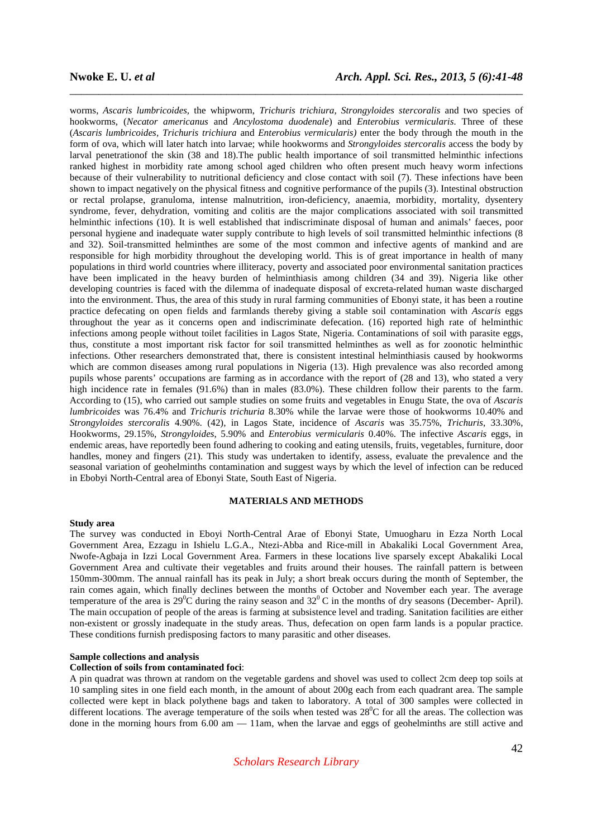worms, *Ascaris lumbricoides,* the whipworm, *Trichuris trichiura, Strongyloides stercoralis* and two species of hookworms, (*Necator americanus* and *Ancylostoma duodenale*) and *Enterobius vermicularis.* Three of these (*Ascaris lumbricoides, Trichuris trichiura* and *Enterobius vermicularis)* enter the body through the mouth in the form of ova, which will later hatch into larvae; while hookworms and *Strongyloides stercoralis* access the body by larval penetrationof the skin (38 and 18).The public health importance of soil transmitted helminthic infections ranked highest in morbidity rate among school aged children who often present much heavy worm infections because of their vulnerability to nutritional deficiency and close contact with soil (7). These infections have been shown to impact negatively on the physical fitness and cognitive performance of the pupils (3). Intestinal obstruction or rectal prolapse, granuloma, intense malnutrition, iron-deficiency, anaemia, morbidity, mortality, dysentery syndrome, fever, dehydration, vomiting and colitis are the major complications associated with soil transmitted helminthic infections (10). It is well established that indiscriminate disposal of human and animals' faeces, poor personal hygiene and inadequate water supply contribute to high levels of soil transmitted helminthic infections (8 and 32). Soil-transmitted helminthes are some of the most common and infective agents of mankind and are responsible for high morbidity throughout the developing world. This is of great importance in health of many populations in third world countries where illiteracy, poverty and associated poor environmental sanitation practices have been implicated in the heavy burden of helminthiasis among children (34 and 39). Nigeria like other developing countries is faced with the dilemma of inadequate disposal of excreta-related human waste discharged into the environment. Thus, the area of this study in rural farming communities of Ebonyi state, it has been a routine practice defecating on open fields and farmlands thereby giving a stable soil contamination with *Ascaris* eggs throughout the year as it concerns open and indiscriminate defecation. (16) reported high rate of helminthic infections among people without toilet facilities in Lagos State, Nigeria. Contaminations of soil with parasite eggs, thus, constitute a most important risk factor for soil transmitted helminthes as well as for zoonotic helminthic infections. Other researchers demonstrated that, there is consistent intestinal helminthiasis caused by hookworms which are common diseases among rural populations in Nigeria (13). High prevalence was also recorded among pupils whose parents' occupations are farming as in accordance with the report of (28 and 13), who stated a very high incidence rate in females (91.6%) than in males (83.0%). These children follow their parents to the farm. According to (15), who carried out sample studies on some fruits and vegetables in Enugu State, the ova of *Ascaris lumbricoides* was 76.4% and *Trichuris trichuria* 8.30% while the larvae were those of hookworms 10.40% and *Strongyloides stercoralis* 4.90%. (42), in Lagos State, incidence of *Ascaris* was 35.75%, *Trichuris*, 33.30%, Hookworms, 29.15%, *Strongyloides*, 5.90% and *Enterobius vermicularis* 0.40%. The infective *Ascaris* eggs, in endemic areas, have reportedly been found adhering to cooking and eating utensils, fruits, vegetables, furniture, door handles, money and fingers (21). This study was undertaken to identify, assess, evaluate the prevalence and the seasonal variation of geohelminths contamination and suggest ways by which the level of infection can be reduced in Ebobyi North-Central area of Ebonyi State, South East of Nigeria.

\_\_\_\_\_\_\_\_\_\_\_\_\_\_\_\_\_\_\_\_\_\_\_\_\_\_\_\_\_\_\_\_\_\_\_\_\_\_\_\_\_\_\_\_\_\_\_\_\_\_\_\_\_\_\_\_\_\_\_\_\_\_\_\_\_\_\_\_\_\_\_\_\_\_\_\_\_\_

# **MATERIALS AND METHODS**

# **Study area**

The survey was conducted in Eboyi North-Central Arae of Ebonyi State, Umuogharu in Ezza North Local Government Area, Ezzagu in Ishielu L.G.A., Ntezi-Abba and Rice-mill in Abakaliki Local Government Area, Nwofe-Agbaja in Izzi Local Government Area. Farmers in these locations live sparsely except Abakaliki Local Government Area and cultivate their vegetables and fruits around their houses. The rainfall pattern is between 150mm-300mm. The annual rainfall has its peak in July; a short break occurs during the month of September, the rain comes again, which finally declines between the months of October and November each year. The average temperature of the area is 29<sup>o</sup>C during the rainy season and  $32^{\circ}$ C in the months of dry seasons (December- April). The main occupation of people of the areas is farming at subsistence level and trading. Sanitation facilities are either non-existent or grossly inadequate in the study areas. Thus, defecation on open farm lands is a popular practice. These conditions furnish predisposing factors to many parasitic and other diseases.

#### **Sample collections and analysis**

#### **Collection of soils from contaminated foci**:

A pin quadrat was thrown at random on the vegetable gardens and shovel was used to collect 2cm deep top soils at 10 sampling sites in one field each month, in the amount of about 200g each from each quadrant area. The sample collected were kept in black polythene bags and taken to laboratory. A total of 300 samples were collected in different locations. The average temperature of the soils when tested was  $28^{\circ}$ C for all the areas. The collection was done in the morning hours from  $6.00 \text{ am } - 11$ am, when the larvae and eggs of geohelminths are still active and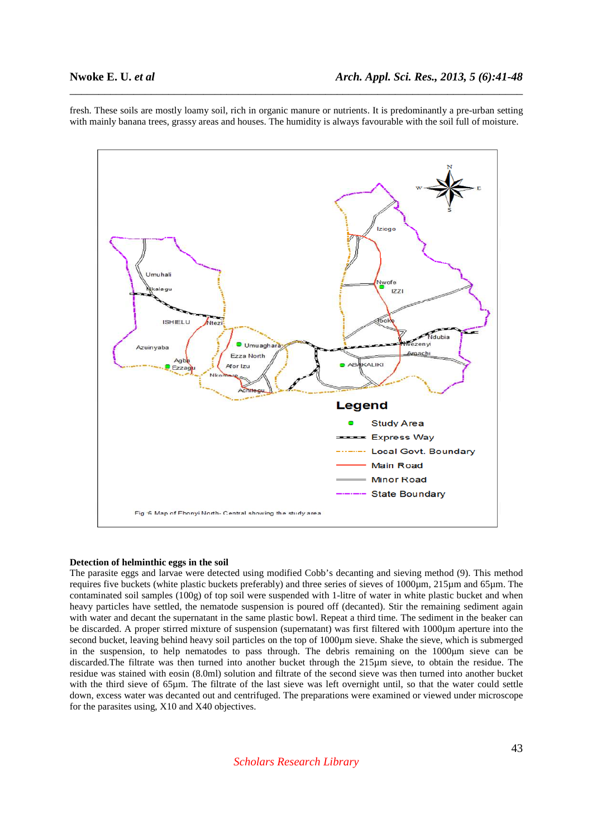fresh. These soils are mostly loamy soil, rich in organic manure or nutrients. It is predominantly a pre-urban setting with mainly banana trees, grassy areas and houses. The humidity is always favourable with the soil full of moisture.

\_\_\_\_\_\_\_\_\_\_\_\_\_\_\_\_\_\_\_\_\_\_\_\_\_\_\_\_\_\_\_\_\_\_\_\_\_\_\_\_\_\_\_\_\_\_\_\_\_\_\_\_\_\_\_\_\_\_\_\_\_\_\_\_\_\_\_\_\_\_\_\_\_\_\_\_\_\_



### **Detection of helminthic eggs in the soil**

The parasite eggs and larvae were detected using modified Cobb's decanting and sieving method (9). This method requires five buckets (white plastic buckets preferably) and three series of sieves of 1000µm, 215µm and 65µm. The contaminated soil samples (100g) of top soil were suspended with 1-litre of water in white plastic bucket and when heavy particles have settled, the nematode suspension is poured off (decanted). Stir the remaining sediment again with water and decant the supernatant in the same plastic bowl. Repeat a third time. The sediment in the beaker can be discarded. A proper stirred mixture of suspension (supernatant) was first filtered with 1000um aperture into the second bucket, leaving behind heavy soil particles on the top of 1000µm sieve. Shake the sieve, which is submerged in the suspension, to help nematodes to pass through. The debris remaining on the 1000 µm sieve can be discarded.The filtrate was then turned into another bucket through the 215µm sieve, to obtain the residue. The residue was stained with eosin (8.0ml) solution and filtrate of the second sieve was then turned into another bucket with the third sieve of 65µm. The filtrate of the last sieve was left overnight until, so that the water could settle down, excess water was decanted out and centrifuged. The preparations were examined or viewed under microscope for the parasites using, X10 and X40 objectives.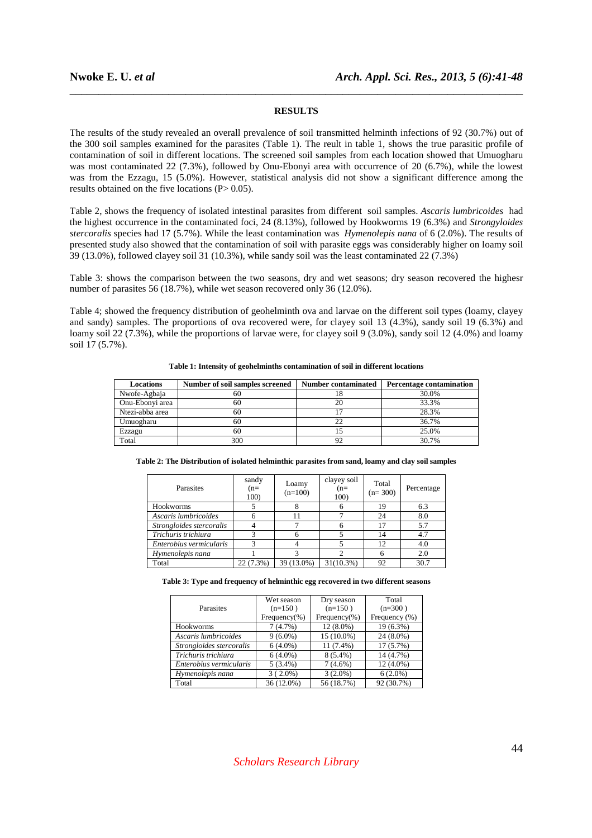# **RESULTS**

\_\_\_\_\_\_\_\_\_\_\_\_\_\_\_\_\_\_\_\_\_\_\_\_\_\_\_\_\_\_\_\_\_\_\_\_\_\_\_\_\_\_\_\_\_\_\_\_\_\_\_\_\_\_\_\_\_\_\_\_\_\_\_\_\_\_\_\_\_\_\_\_\_\_\_\_\_\_

The results of the study revealed an overall prevalence of soil transmitted helminth infections of 92 (30.7%) out of the 300 soil samples examined for the parasites (Table 1). The reult in table 1, shows the true parasitic profile of contamination of soil in different locations. The screened soil samples from each location showed that Umuogharu was most contaminated 22 (7.3%), followed by Onu-Ebonyi area with occurrence of 20 (6.7%), while the lowest was from the Ezzagu, 15 (5.0%). However, statistical analysis did not show a significant difference among the results obtained on the five locations (P> 0.05).

Table 2, shows the frequency of isolated intestinal parasites from different soil samples. *Ascaris lumbricoides* had the highest occurrence in the contaminated foci, 24 (8.13%), followed by Hookworms 19 (6.3%) and *Strongyloides stercoralis* species had 17 (5.7%). While the least contamination was *Hymenolepis nana* of 6 (2.0%). The results of presented study also showed that the contamination of soil with parasite eggs was considerably higher on loamy soil 39 (13.0%), followed clayey soil 31 (10.3%), while sandy soil was the least contaminated 22 (7.3%)

Table 3: shows the comparison between the two seasons, dry and wet seasons; dry season recovered the highesr number of parasites 56 (18.7%), while wet season recovered only 36 (12.0%).

Table 4; showed the frequency distribution of geohelminth ova and larvae on the different soil types (loamy, clayey and sandy) samples. The proportions of ova recovered were, for clayey soil 13 (4.3%), sandy soil 19 (6.3%) and loamy soil 22 (7.3%), while the proportions of larvae were, for clayey soil 9 (3.0%), sandy soil 12 (4.0%) and loamy soil 17 (5.7%).

**Table 1: Intensity of geohelminths contamination of soil in different locations** 

| <b>Locations</b> | Number of soil samples screened | <b>Number contaminated</b> | <b>Percentage contamination</b> |
|------------------|---------------------------------|----------------------------|---------------------------------|
| Nwofe-Agbaja     | 60                              | 18                         | 30.0%                           |
| Onu-Ebonyi area  | 60                              | 20                         | 33.3%                           |
| Ntezi-abba area  | 60                              |                            | 28.3%                           |
| Umuogharu        | 60                              |                            | 36.7%                           |
| Ezzagu           | 60                              | $\mathcal{L}$              | 25.0%                           |
| Total            | 300                             |                            | 30.7%                           |

|  | Table 2: The Distribution of isolated helminthic parasites from sand, loamy and clay soil samples |
|--|---------------------------------------------------------------------------------------------------|
|  |                                                                                                   |
|  |                                                                                                   |

| Parasites                | sandy<br>$(n=$<br>100) | Loamy<br>$(n=100)$ | clayey soil<br>$(n=$<br>100) | Total<br>$(n=300)$ | Percentage |
|--------------------------|------------------------|--------------------|------------------------------|--------------------|------------|
| Hookworms                |                        |                    | 6                            | 19                 | 6.3        |
| Ascaris lumbricoides     | h                      |                    |                              | 24                 | 8.0        |
| Strongloides stercoralis |                        |                    | 6                            | 17                 | 5.7        |
| Trichuris trichiura      |                        |                    |                              | 14                 | 4.7        |
| Enterobius vermicularis  | 3                      |                    |                              | 12                 | 4.0        |
| Hymenolepis nana         |                        |                    |                              | 6                  | 2.0        |
| Total                    | 22 (7.3%)              | 39 (13.0%)         | $31(10.3\%)$                 | 92                 | 30.7       |

**Table 3: Type and frequency of helminthic egg recovered in two different seasons** 

|                          | Wet season       | Dry season       | Total         |
|--------------------------|------------------|------------------|---------------|
| Parasites                | $(n=150)$        | $(n=150)$        | $(n=300)$     |
|                          | Frequency $(\%)$ | Frequency $(\%)$ | Frequency (%) |
| Hookworms                | 7(4.7%)          | 12 (8.0%)        | 19 (6.3%)     |
| Ascaris lumbricoides     | $9(6.0\%)$       | 15 (10.0%)       | 24 (8.0%)     |
| Strongloides stercoralis | $6(4.0\%)$       | 11 (7.4%)        | 17(5.7%)      |
| Trichuris trichiura      | $6(4.0\%)$       | $8(5.4\%)$       | 14 (4.7%)     |
| Enterobius vermicularis  | $5(3.4\%)$       | $7(4.6\%)$       | 12 (4.0%)     |
| Hymenolepis nana         | $3(2.0\%)$       | $3(2.0\%)$       | $6(2.0\%)$    |
| Total                    | 36 (12.0%)       | 56 (18.7%)       | 92 (30.7%)    |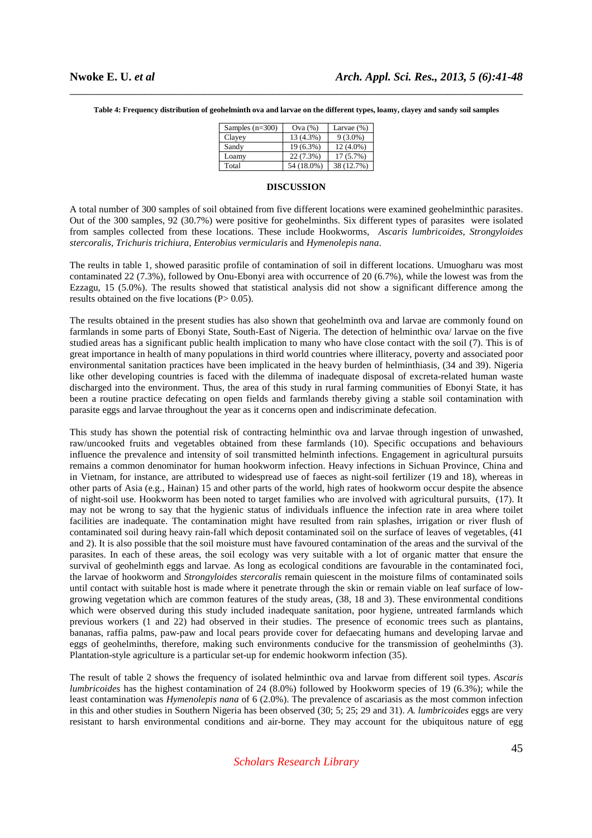| Samples $(n=300)$ | Ova(%)     | Larvae $(\%)$ |
|-------------------|------------|---------------|
| Clayey            | 13 (4.3%)  | $9(3.0\%)$    |
| Sandy             | 19 (6.3%)  | $12(4.0\%)$   |
| Loamv             | 22 (7.3%)  | $17(5.7\%)$   |
| Total             | 54 (18.0%) | 38 (12.7%)    |

\_\_\_\_\_\_\_\_\_\_\_\_\_\_\_\_\_\_\_\_\_\_\_\_\_\_\_\_\_\_\_\_\_\_\_\_\_\_\_\_\_\_\_\_\_\_\_\_\_\_\_\_\_\_\_\_\_\_\_\_\_\_\_\_\_\_\_\_\_\_\_\_\_\_\_\_\_\_

**Table 4: Frequency distribution of geohelminth ova and larvae on the different types, loamy, clayey and sandy soil samples** 

#### **DISCUSSION**

A total number of 300 samples of soil obtained from five different locations were examined geohelminthic parasites. Out of the 300 samples, 92 (30.7%) were positive for geohelminths. Six different types of parasites were isolated from samples collected from these locations. These include Hookworms, *Ascaris lumbricoides, Strongyloides stercoralis, Trichuris trichiura, Enterobius vermicularis* and *Hymenolepis nana*.

The reults in table 1, showed parasitic profile of contamination of soil in different locations. Umuogharu was most contaminated 22 (7.3%), followed by Onu-Ebonyi area with occurrence of 20 (6.7%), while the lowest was from the Ezzagu, 15 (5.0%). The results showed that statistical analysis did not show a significant difference among the results obtained on the five locations  $(P> 0.05)$ .

The results obtained in the present studies has also shown that geohelminth ova and larvae are commonly found on farmlands in some parts of Ebonyi State, South-East of Nigeria. The detection of helminthic ova/ larvae on the five studied areas has a significant public health implication to many who have close contact with the soil (7). This is of great importance in health of many populations in third world countries where illiteracy, poverty and associated poor environmental sanitation practices have been implicated in the heavy burden of helminthiasis, (34 and 39). Nigeria like other developing countries is faced with the dilemma of inadequate disposal of excreta-related human waste discharged into the environment. Thus, the area of this study in rural farming communities of Ebonyi State, it has been a routine practice defecating on open fields and farmlands thereby giving a stable soil contamination with parasite eggs and larvae throughout the year as it concerns open and indiscriminate defecation.

This study has shown the potential risk of contracting helminthic ova and larvae through ingestion of unwashed, raw/uncooked fruits and vegetables obtained from these farmlands (10). Specific occupations and behaviours influence the prevalence and intensity of soil transmitted helminth infections. Engagement in agricultural pursuits remains a common denominator for human hookworm infection. Heavy infections in Sichuan Province, China and in Vietnam, for instance, are attributed to widespread use of faeces as night-soil fertilizer (19 and 18), whereas in other parts of Asia (e.g., Hainan) 15 and other parts of the world, high rates of hookworm occur despite the absence of night-soil use. Hookworm has been noted to target families who are involved with agricultural pursuits, (17). It may not be wrong to say that the hygienic status of individuals influence the infection rate in area where toilet facilities are inadequate. The contamination might have resulted from rain splashes, irrigation or river flush of contaminated soil during heavy rain-fall which deposit contaminated soil on the surface of leaves of vegetables, (41 and 2). It is also possible that the soil moisture must have favoured contamination of the areas and the survival of the parasites. In each of these areas, the soil ecology was very suitable with a lot of organic matter that ensure the survival of geohelminth eggs and larvae. As long as ecological conditions are favourable in the contaminated foci, the larvae of hookworm and *Strongyloides stercoralis* remain quiescent in the moisture films of contaminated soils until contact with suitable host is made where it penetrate through the skin or remain viable on leaf surface of lowgrowing vegetation which are common features of the study areas, (38, 18 and 3). These environmental conditions which were observed during this study included inadequate sanitation, poor hygiene, untreated farmlands which previous workers (1 and 22) had observed in their studies. The presence of economic trees such as plantains, bananas, raffia palms, paw-paw and local pears provide cover for defaecating humans and developing larvae and eggs of geohelminths, therefore, making such environments conducive for the transmission of geohelminths (3). Plantation-style agriculture is a particular set-up for endemic hookworm infection (35).

The result of table 2 shows the frequency of isolated helminthic ova and larvae from different soil types. *Ascaris lumbricoides* has the highest contamination of 24 (8.0%) followed by Hookworm species of 19 (6.3%); while the least contamination was *Hymenolepis nana* of 6 (2.0%). The prevalence of ascariasis as the most common infection in this and other studies in Southern Nigeria has been observed (30; 5; 25; 29 and 31). *A. lumbricoides* eggs are very resistant to harsh environmental conditions and air-borne. They may account for the ubiquitous nature of egg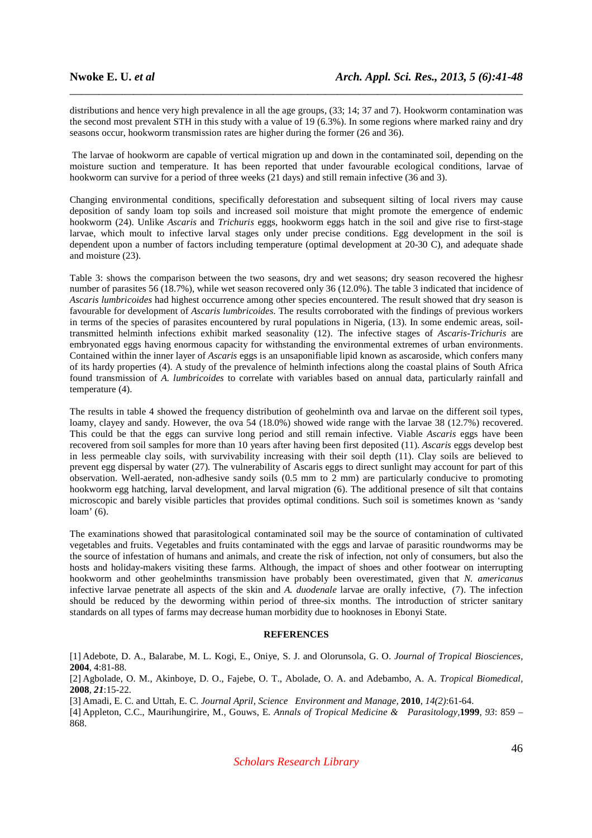distributions and hence very high prevalence in all the age groups,  $(33; 14; 37$  and 7). Hookworm contamination was the second most prevalent STH in this study with a value of 19 (6.3%). In some regions where marked rainy and dry seasons occur, hookworm transmission rates are higher during the former (26 and 36).

\_\_\_\_\_\_\_\_\_\_\_\_\_\_\_\_\_\_\_\_\_\_\_\_\_\_\_\_\_\_\_\_\_\_\_\_\_\_\_\_\_\_\_\_\_\_\_\_\_\_\_\_\_\_\_\_\_\_\_\_\_\_\_\_\_\_\_\_\_\_\_\_\_\_\_\_\_\_

 The larvae of hookworm are capable of vertical migration up and down in the contaminated soil, depending on the moisture suction and temperature. It has been reported that under favourable ecological conditions, larvae of hookworm can survive for a period of three weeks (21 days) and still remain infective (36 and 3).

Changing environmental conditions, specifically deforestation and subsequent silting of local rivers may cause deposition of sandy loam top soils and increased soil moisture that might promote the emergence of endemic hookworm (24). Unlike *Ascaris* and *Trichuris* eggs, hookworm eggs hatch in the soil and give rise to first-stage larvae, which moult to infective larval stages only under precise conditions. Egg development in the soil is dependent upon a number of factors including temperature (optimal development at 20-30 C), and adequate shade and moisture (23).

Table 3: shows the comparison between the two seasons, dry and wet seasons; dry season recovered the highesr number of parasites 56 (18.7%), while wet season recovered only 36 (12.0%). The table 3 indicated that incidence of *Ascaris lumbricoides* had highest occurrence among other species encountered. The result showed that dry season is favourable for development of *Ascaris lumbricoides.* The results corroborated with the findings of previous workers in terms of the species of parasites encountered by rural populations in Nigeria, (13). In some endemic areas, soiltransmitted helminth infections exhibit marked seasonality (12). The infective stages of *Ascaris*-*Trichuris* are embryonated eggs having enormous capacity for withstanding the environmental extremes of urban environments. Contained within the inner layer of *Ascaris* eggs is an unsaponifiable lipid known as ascaroside, which confers many of its hardy properties (4). A study of the prevalence of helminth infections along the coastal plains of South Africa found transmission of *A. lumbricoides* to correlate with variables based on annual data, particularly rainfall and temperature (4).

The results in table 4 showed the frequency distribution of geohelminth ova and larvae on the different soil types, loamy, clayey and sandy. However, the ova 54 (18.0%) showed wide range with the larvae 38 (12.7%) recovered. This could be that the eggs can survive long period and still remain infective. Viable *Ascaris* eggs have been recovered from soil samples for more than 10 years after having been first deposited (11). *Ascaris* eggs develop best in less permeable clay soils, with survivability increasing with their soil depth (11). Clay soils are believed to prevent egg dispersal by water (27). The vulnerability of Ascaris eggs to direct sunlight may account for part of this observation. Well-aerated, non-adhesive sandy soils (0.5 mm to 2 mm) are particularly conducive to promoting hookworm egg hatching, larval development, and larval migration (6). The additional presence of silt that contains microscopic and barely visible particles that provides optimal conditions. Such soil is sometimes known as 'sandy loam' (6).

The examinations showed that parasitological contaminated soil may be the source of contamination of cultivated vegetables and fruits. Vegetables and fruits contaminated with the eggs and larvae of parasitic roundworms may be the source of infestation of humans and animals, and create the risk of infection, not only of consumers, but also the hosts and holiday-makers visiting these farms. Although, the impact of shoes and other footwear on interrupting hookworm and other geohelminths transmission have probably been overestimated, given that *N. americanus*  infective larvae penetrate all aspects of the skin and *A. duodenale* larvae are orally infective, (7). The infection should be reduced by the deworming within period of three-six months. The introduction of stricter sanitary standards on all types of farms may decrease human morbidity due to hooknoses in Ebonyi State.

# **REFERENCES**

[1] Adebote, D. A., Balarabe, M. L. Kogi, E., Oniye, S. J. and Olorunsola, G. O. *Journal of Tropical Biosciences,*  **2004**, 4:81-88.

[2] Agbolade, O. M., Akinboye, D. O., Fajebe, O. T., Abolade, O. A. and Adebambo, A. A. *Tropical Biomedical,*  **2008**, *21*:15-22.

[3] Amadi, E. C. and Uttah, E. C. *Journal April, Science Environment and Manage,* **2010**, *14(2)*:61-64.

[4] Appleton, C.C., Maurihungirire, M., Gouws, E. *Annals of Tropical Medicine & Parasitology,***1999**, *93*: 859 – 868.

*Scholars Research Library*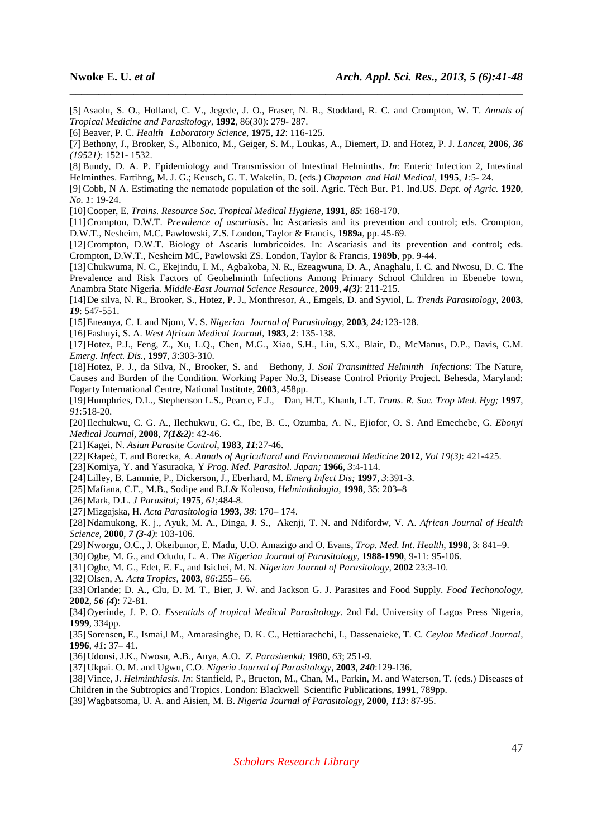[5] Asaolu, S. O., Holland, C. V., Jegede, J. O., Fraser, N. R., Stoddard, R. C. and Crompton, W. T. *Annals of Tropical Medicine and Parasitology,* **1992**, 86(30): 279- 287.

\_\_\_\_\_\_\_\_\_\_\_\_\_\_\_\_\_\_\_\_\_\_\_\_\_\_\_\_\_\_\_\_\_\_\_\_\_\_\_\_\_\_\_\_\_\_\_\_\_\_\_\_\_\_\_\_\_\_\_\_\_\_\_\_\_\_\_\_\_\_\_\_\_\_\_\_\_\_

[7] Bethony, J., Brooker, S., Albonico, M., Geiger, S. M., Loukas, A., Diemert, D. and Hotez, P. J. *Lancet,* **2006**, *36 (19521)*: 1521- 1532.

[8] Bundy, D. A. P. Epidemiology and Transmission of Intestinal Helminths. *In*: Enteric Infection 2, Intestinal Helminthes. Fartihng, M. J. G.; Keusch, G. T. Wakelin, D. (eds.) *Chapman and Hall Medical,* **1995**, *1*:5- 24.

[9] Cobb, N A. Estimating the nematode population of the soil. Agric. Téch Bur. P1. Ind.US. *Dept. of Agric.* **1920**, *No. 1*: 19-24.

[10]Cooper, E. *Trains. Resource Soc. Tropical Medical Hygiene,* **1991**, *85*: 168-170.

[11]Crompton, D.W.T. *Prevalence of ascariasis*. In: Ascariasis and its prevention and control; eds. Crompton, D.W.T., Nesheim, M.C. Pawlowski, Z.S. London, Taylor & Francis, **1989a**, pp. 45-69.

[12] Crompton, D.W.T. Biology of Ascaris lumbricoides. In: Ascariasis and its prevention and control; eds. Crompton, D.W.T., Nesheim MC, Pawlowski ZS. London, Taylor & Francis, **1989b**, pp. 9-44.

[13]Chukwuma, N. C., Ekejindu, I. M., Agbakoba, N. R., Ezeagwuna, D. A., Anaghalu, I. C. and Nwosu, D. C. The Prevalence and Risk Factors of Geohelminth Infections Among Primary School Children in Ebenebe town, Anambra State Nigeria. *Middle-East Journal Science Resource,* **2009**, *4(3)*: 211-215.

[14]De silva, N. R., Brooker, S., Hotez, P. J., Monthresor, A., Emgels, D. and Syviol, L. *Trends Parasitology,* **2003**, *19*: 547-551.

[15]Eneanya, C. I. and Njom, V. S. *Nigerian Journal of Parasitology,* **2003**, *24:*123*-*128*.*

[16]Fashuyi, S. A. *West African Medical Journal,* **1983**, *2*: 135-138.

[17]Hotez, P.J., Feng, Z., Xu, L.Q., Chen, M.G., Xiao, S.H., Liu, S.X., Blair, D., McManus, D.P., Davis, G.M. *Emerg. Infect. Dis.,* **1997**, *3*:303-310.

[18]Hotez, P. J., da Silva, N., Brooker, S. and Bethony, J. *Soil Transmitted Helminth Infections*: The Nature, Causes and Burden of the Condition. Working Paper No.3, Disease Control Priority Project. Behesda, Maryland: Fogarty International Centre, National Institute, **2003**, 458pp.

[19]Humphries, D.L., Stephenson L.S., Pearce, E.J., Dan, H.T., Khanh, L.T. *Trans. R. Soc. Trop Med. Hyg;* **1997**, *91*:518-20.

[20]Ilechukwu, C. G. A., Ilechukwu, G. C., Ibe, B. C., Ozumba, A. N., Ejiofor, O. S. And Emechebe, G. *Ebonyi Medical Journal,* **2008**, *7(1&2)*: 42-46.

[21]Kagei, N. *Asian Parasite Control,* **1983**, *11*:27-46.

[22]Kłapeć, T. and Borecka, A. *Annals of Agricultural and Environmental Medicine* **2012***, Vol 19(3)*: 421-425.

[23]Komiya, Y. and Yasuraoka, Y *Prog. Med. Parasitol. Japan;* **1966**, *3*:4-114.

[24]Lilley, B. Lammie, P., Dickerson, J., Eberhard, M. *Emerg Infect Dis;* **1997**, *3*:391-3.

[25]Mafiana, C.F., M.B., Sodipe and B.I.& Koleoso, *Helminthologia,* **1998**, 35: 203–8

[26]Mark, D.L. *J Parasitol;* **1975**, *61*;484-8.

[27]Mizgajska, H. *Acta Parasitologia* **1993**, *38*: 170– 174.

[28]Ndamukong, K. j., Ayuk, M. A., Dinga, J. S., Akenji, T. N. and Ndifordw, V. A. *African Journal of Health Science,* **2000**, *7 (3-4)*: 103-106.

[29]Nworgu, O.C., J. Okeibunor, E. Madu, U.O. Amazigo and O. Evans, *Trop. Med. Int. Health,* **1998**, 3: 841–9.

[30]Ogbe, M. G., and Odudu, L. A. *The Nigerian Journal of Parasitology,* **1988**-**1990**, 9-11: 95-106.

[31]Ogbe, M. G., Edet, E. E., and Isichei, M. N. *Nigerian Journal of Parasitology,* **2002** 23:3-10.

[32]Olsen, A. *Acta Tropics,* **2003**, *86***:**255– 66.

[33]Orlande; D. A., Clu, D. M. T., Bier, J. W. and Jackson G. J. Parasites and Food Supply. *Food Techonology,*  **2002**, *56 (4***)**: 72-81.

[34]Oyerinde, J. P. O. *Essentials of tropical Medical Parasitology*. 2nd Ed. University of Lagos Press Nigeria, **1999**, 334pp.

[35]Sorensen, E., Ismai,l M., Amarasinghe, D. K. C., Hettiarachchi, I., Dassenaieke, T. C. *Ceylon Medical Journal,*  **1996**, *41*: 37– 41.

[36]Udonsi, J.K., Nwosu, A.B., Anya, A.O. *Z. Parasitenkd;* **1980**, *63*; 251-9.

[37]Ukpai. O. M. and Ugwu, C.O. *Nigeria Journal of Parasitology,* **2003**, *240*:129-136.

[38]Vince, J. *Helminthiasis*. *In*: Stanfield, P., Brueton, M., Chan, M., Parkin, M. and Waterson, T. (eds.) Diseases of Children in the Subtropics and Tropics. London: Blackwell Scientific Publications, **1991**, 789pp.

[39]Wagbatsoma, U. A. and Aisien, M. B. *Nigeria Journal of Parasitology,* **2000**, *113*: 87-95.

<sup>[6]</sup> Beaver, P. C. *Health Laboratory Science,* **1975**, *12*: 116-125.